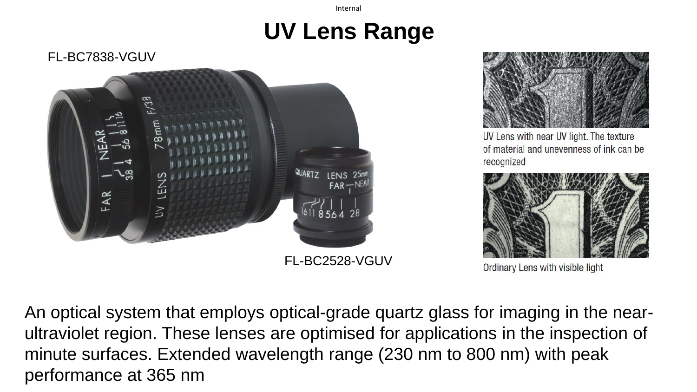# **UV Lens Range**

FL-BC7838-VGUV





UV Lens with near UV light. The texture of material and unevenness of ink can be recognized



Ordinary Lens with visible light

An optical system that employs optical-grade quartz glass for imaging in the nearultraviolet region. These lenses are optimised for applications in the inspection of minute surfaces. Extended wavelength range (230 nm to 800 nm) with peak performance at 365 nm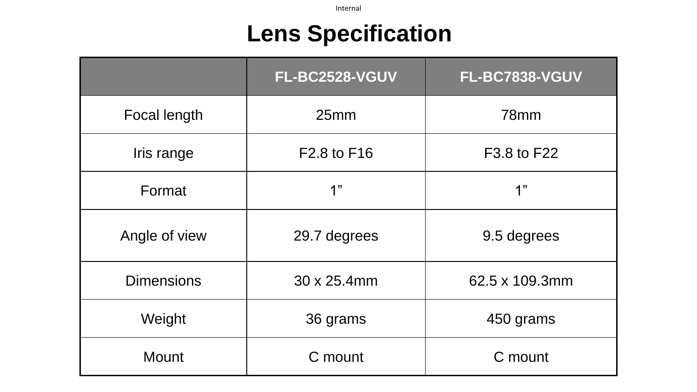# **Lens Specification**

|                     | <b>FL-BC2528-VGUV</b> | FL-BC7838-VGUV |
|---------------------|-----------------------|----------------|
| <b>Focal length</b> | 25mm                  | 78mm           |
| Iris range          | F2.8 to F16           | F3.8 to F22    |
| Format              | 1"                    | 1"             |
| Angle of view       | 29.7 degrees          | 9.5 degrees    |
| <b>Dimensions</b>   | 30 x 25.4mm           | 62.5 x 109.3mm |
| Weight              | 36 grams              | 450 grams      |
| <b>Mount</b>        | C mount               | C mount        |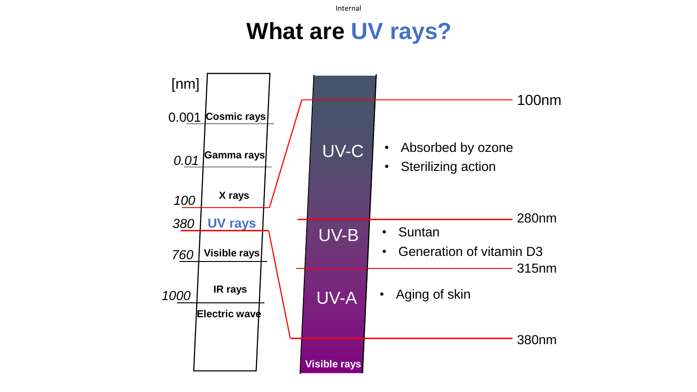### **What are UV rays?**

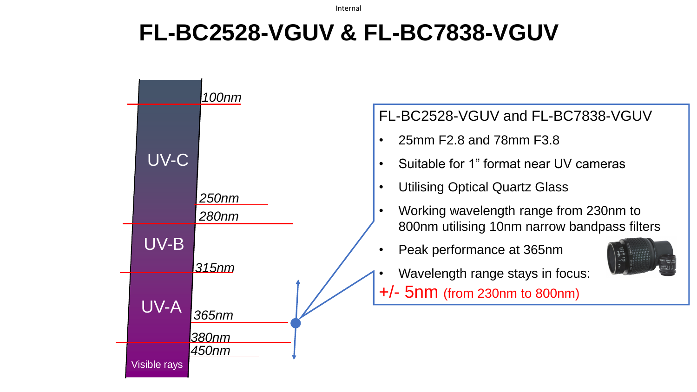# **FL-BC2528-VGUV & FL-BC7838-VGUV**

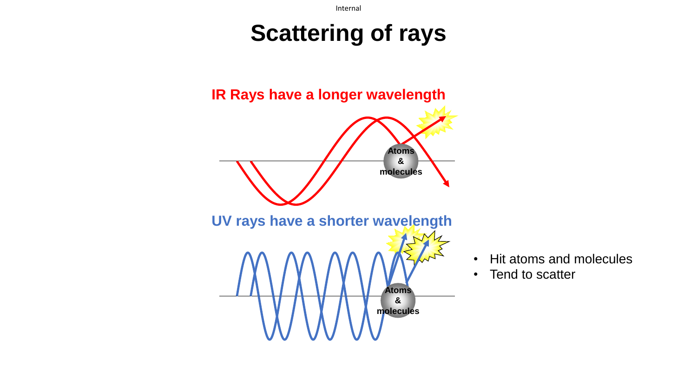### **Scattering of rays**



- Hit atoms and molecules
- Tend to scatter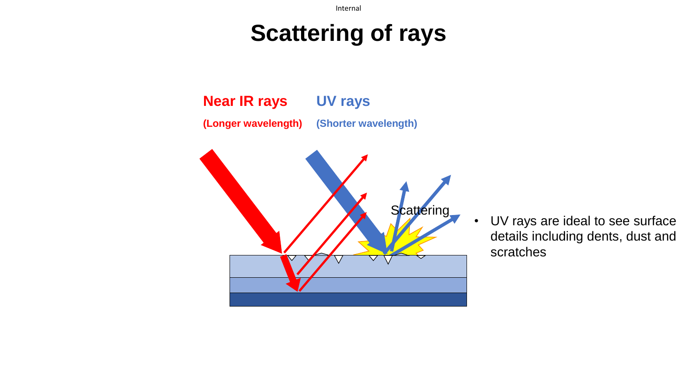## **Scattering of rays**

**Near IR rays (Longer wavelength) UV rays (Shorter wavelength)**



• UV rays are ideal to see surface details including dents, dust and scratches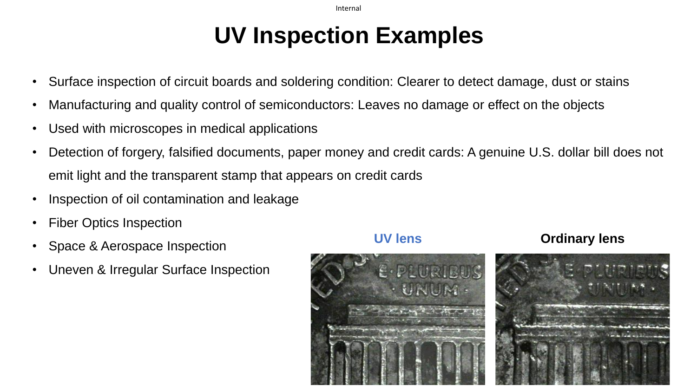# **UV Inspection Examples**

- Surface inspection of circuit boards and soldering condition: Clearer to detect damage, dust or stains
- Manufacturing and quality control of semiconductors: Leaves no damage or effect on the objects
- Used with microscopes in medical applications
- Detection of forgery, falsified documents, paper money and credit cards: A genuine U.S. dollar bill does not emit light and the transparent stamp that appears on credit cards
- Inspection of oil contamination and leakage
- Fiber Optics Inspection
- Space & Aerospace Inspection
- Uneven & Irregular Surface Inspection



### **UV lens Ordinary lens**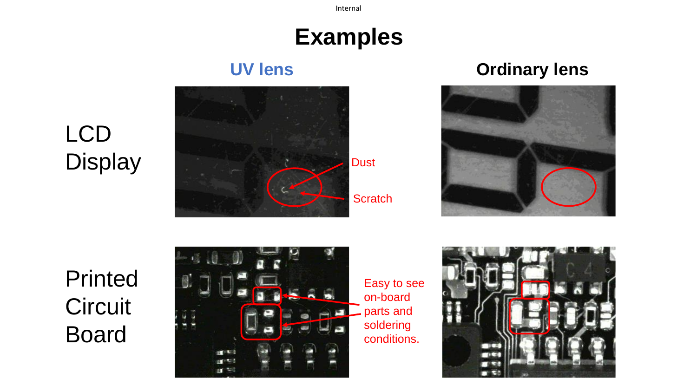# **Examples**

LCD **Display** 



**UV lens Ordinary lens**



Printed **Circuit** Board



Easy to see on-board parts and soldering conditions.

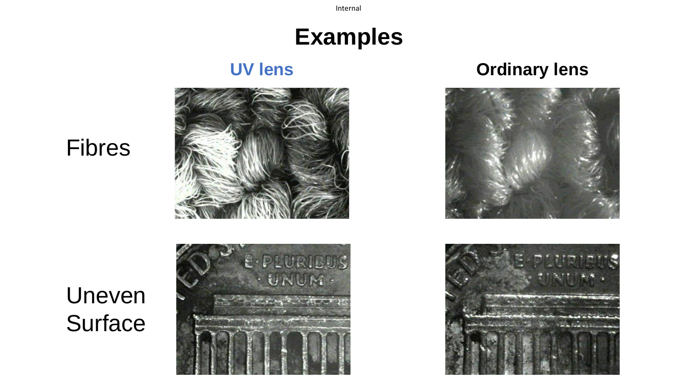## **Examples**

### **UV lens Ordinary lens**



### Fibres

# Uneven **Surface**